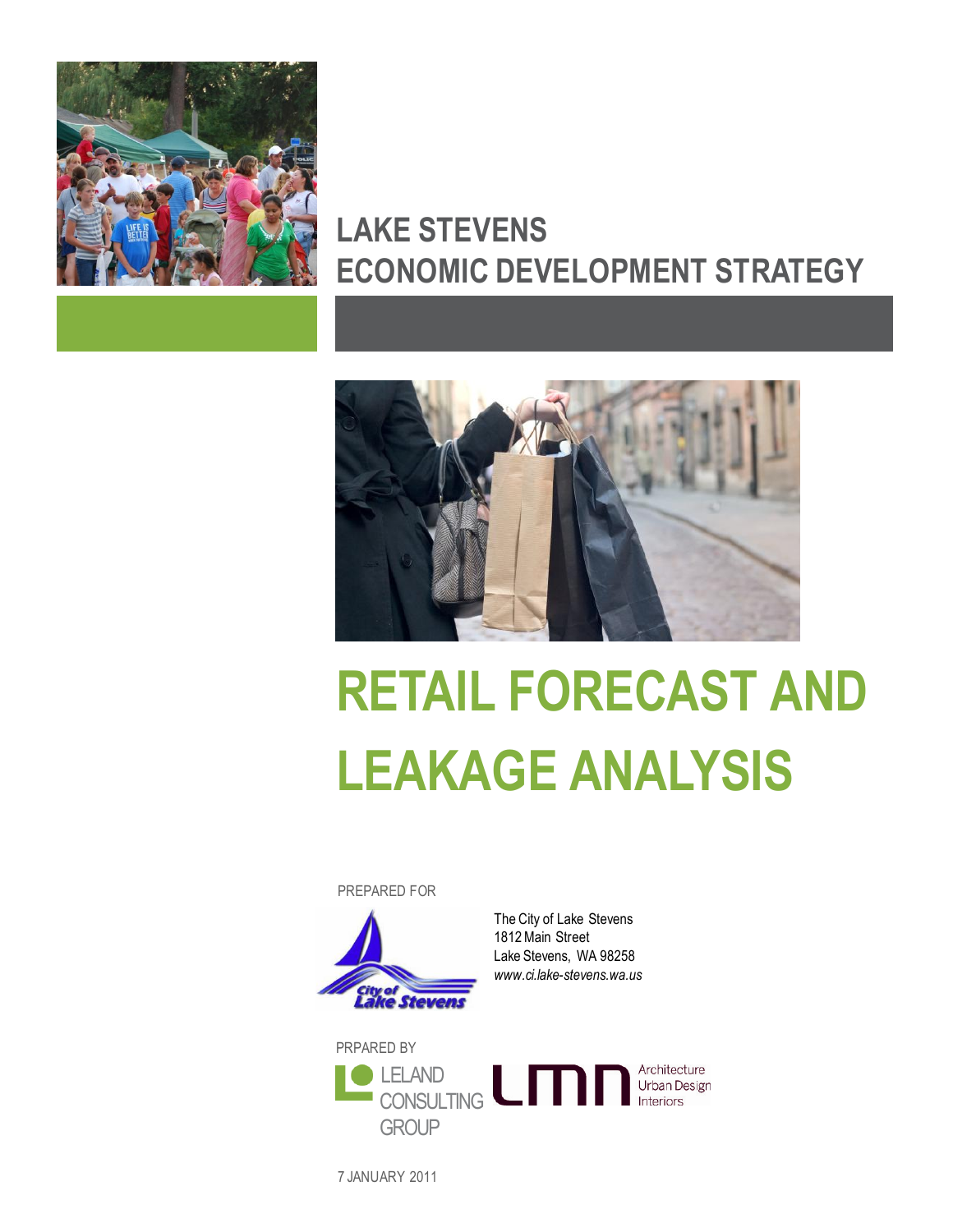

# **LAKE STEVENS ECONOMIC DEVELOPMENT STRATEGY**



# **RETAIL FORECAST AND LEAKAGE ANALYSIS**

PREPARED FOR



The City of Lake Stevens 1812 Main Street Lake Stevens, WA 98258 *www.ci.lake-stevens.wa.us*



7 JANUARY 2011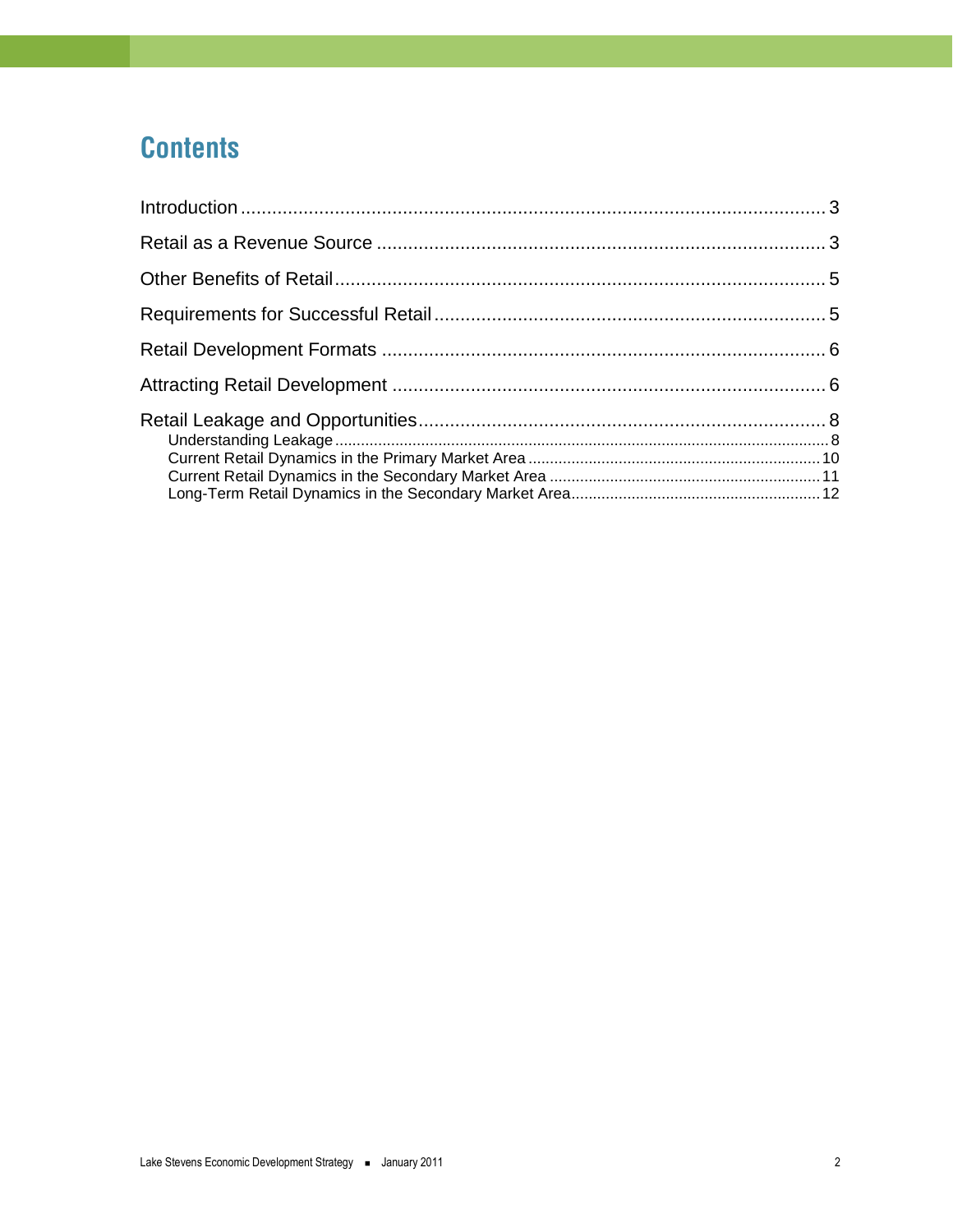# **Contents**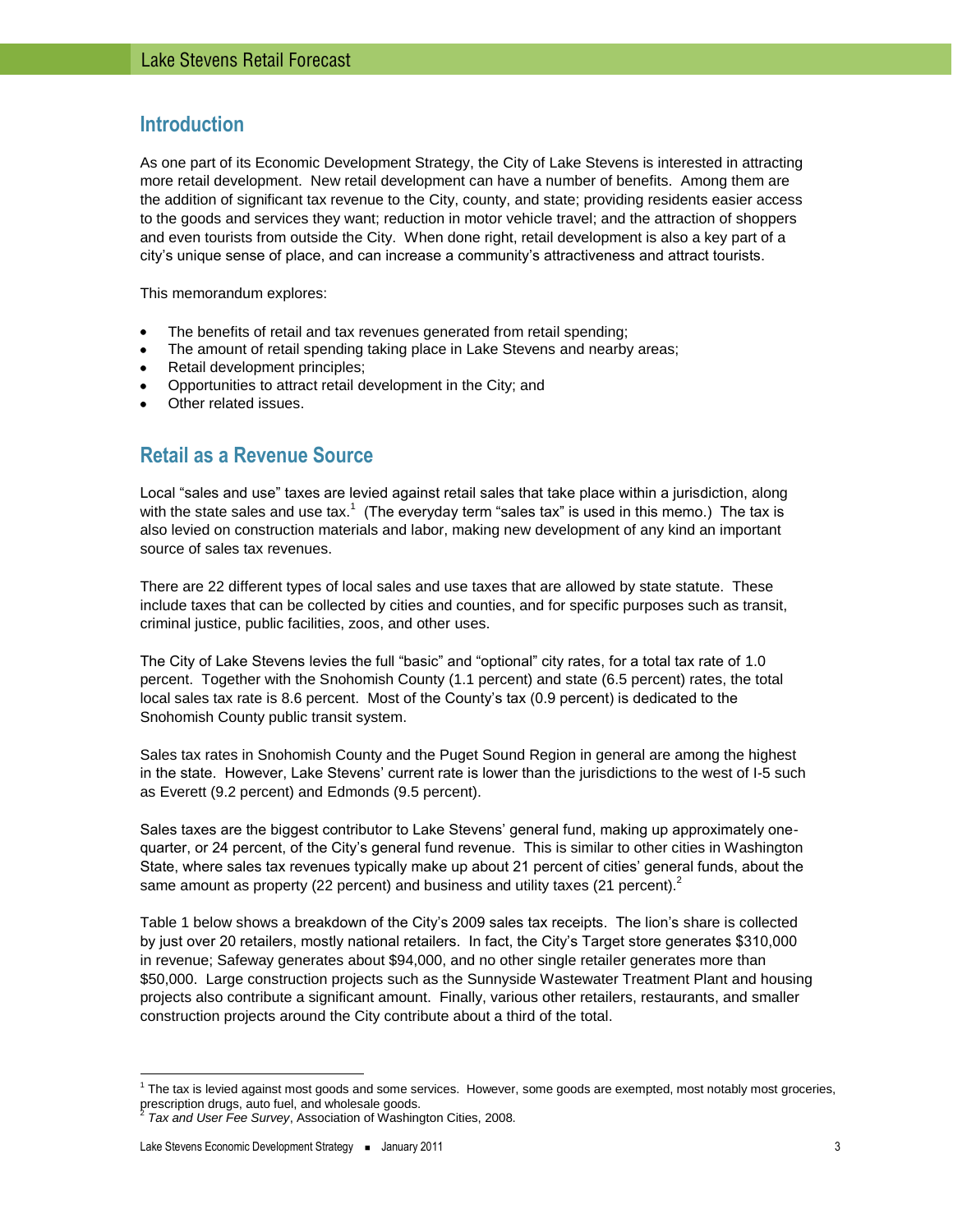# <span id="page-2-0"></span>**Introduction**

As one part of its Economic Development Strategy, the City of Lake Stevens is interested in attracting more retail development. New retail development can have a number of benefits. Among them are the addition of significant tax revenue to the City, county, and state; providing residents easier access to the goods and services they want; reduction in motor vehicle travel; and the attraction of shoppers and even tourists from outside the City. When done right, retail development is also a key part of a city's unique sense of place, and can increase a community's attractiveness and attract tourists.

This memorandum explores:

- The benefits of retail and tax revenues generated from retail spending;
- The amount of retail spending taking place in Lake Stevens and nearby areas;
- Retail development principles;  $\bullet$
- Opportunities to attract retail development in the City; and
- Other related issues.

# <span id="page-2-1"></span>**Retail as a Revenue Source**

Local "sales and use" taxes are levied against retail sales that take place within a jurisdiction, along with the state sales and use tax.<sup>1</sup> (The everyday term "sales tax" is used in this memo.) The tax is also levied on construction materials and labor, making new development of any kind an important source of sales tax revenues.

There are 22 different types of local sales and use taxes that are allowed by state statute. These include taxes that can be collected by cities and counties, and for specific purposes such as transit, criminal justice, public facilities, zoos, and other uses.

The City of Lake Stevens levies the full "basic" and "optional" city rates, for a total tax rate of 1.0 percent. Together with the Snohomish County (1.1 percent) and state (6.5 percent) rates, the total local sales tax rate is 8.6 percent. Most of the County's tax (0.9 percent) is dedicated to the Snohomish County public transit system.

Sales tax rates in Snohomish County and the Puget Sound Region in general are among the highest in the state. However, Lake Stevens' current rate is lower than the jurisdictions to the west of I-5 such as Everett (9.2 percent) and Edmonds (9.5 percent).

Sales taxes are the biggest contributor to Lake Stevens' general fund, making up approximately onequarter, or 24 percent, of the City's general fund revenue. This is similar to other cities in Washington State, where sales tax revenues typically make up about 21 percent of cities' general funds, about the same amount as property (22 percent) and business and utility taxes (21 percent).<sup>2</sup>

Table 1 below shows a breakdown of the City's 2009 sales tax receipts. The lion's share is collected by just over 20 retailers, mostly national retailers. In fact, the City's Target store generates \$310,000 in revenue; Safeway generates about \$94,000, and no other single retailer generates more than \$50,000. Large construction projects such as the Sunnyside Wastewater Treatment Plant and housing projects also contribute a significant amount. Finally, various other retailers, restaurants, and smaller construction projects around the City contribute about a third of the total.

 $\overline{a}$ 

<sup>&</sup>lt;sup>1</sup> The tax is levied against most goods and some services. However, some goods are exempted, most notably most groceries, prescription drugs, auto fuel, and wholesale goods.<br><sup>2</sup> Toy and User Fee Survey, Association of Weshing

*Tax and User Fee Survey*, Association of Washington Cities, 2008.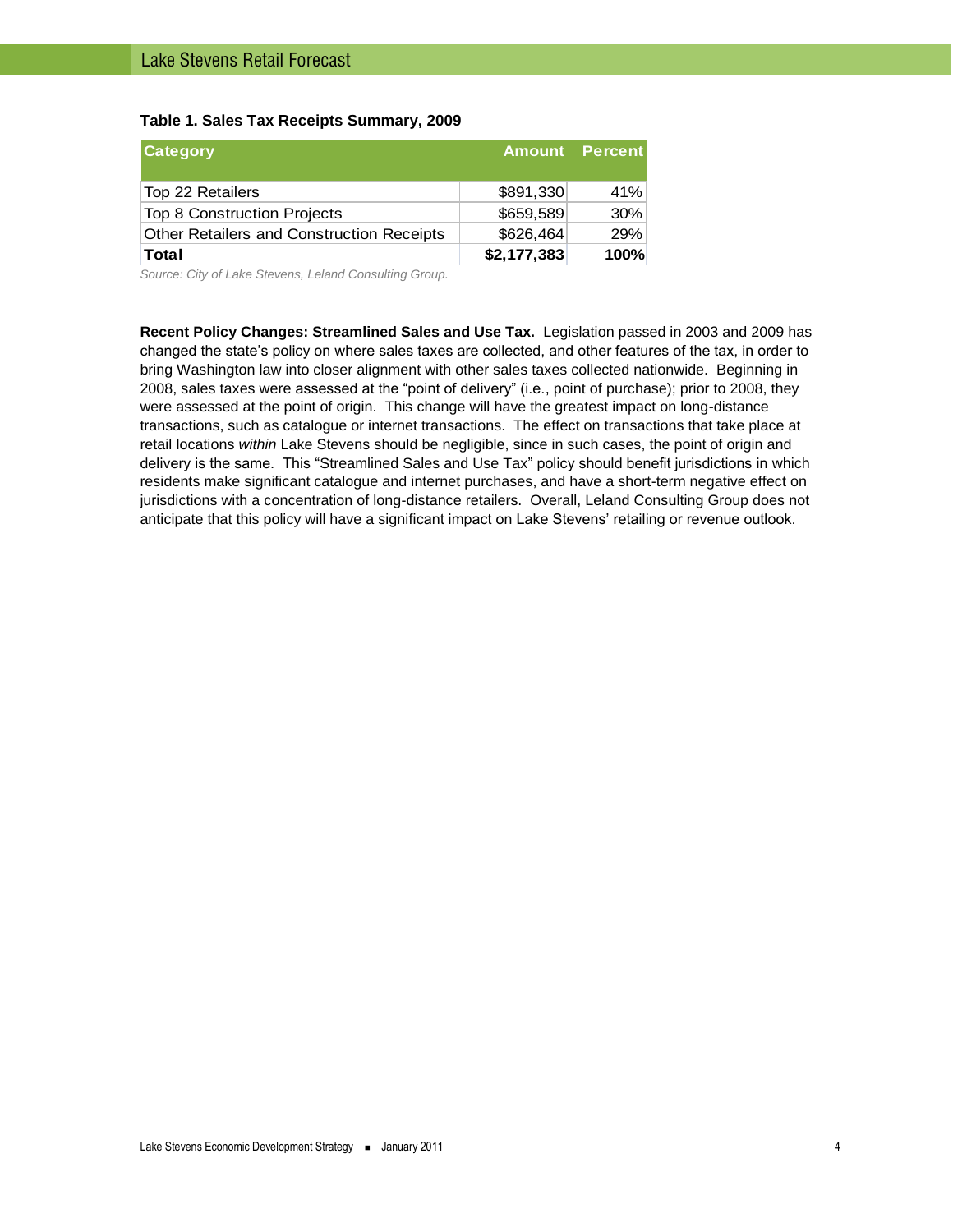#### **Table 1. Sales Tax Receipts Summary, 2009**

| <b>Category</b>                           |             | <b>Amount</b> Percent |
|-------------------------------------------|-------------|-----------------------|
| Top 22 Retailers                          | \$891,330   | 41%                   |
| Top 8 Construction Projects               | \$659,589   | 30%                   |
| Other Retailers and Construction Receipts | \$626,464   | 29%                   |
| <b>Total</b>                              | \$2,177,383 | 100%                  |

*Source: City of Lake Stevens, Leland Consulting Group.*

**Recent Policy Changes: Streamlined Sales and Use Tax.** Legislation passed in 2003 and 2009 has changed the state's policy on where sales taxes are collected, and other features of the tax, in order to bring Washington law into closer alignment with other sales taxes collected nationwide. Beginning in 2008, sales taxes were assessed at the "point of delivery" (i.e., point of purchase); prior to 2008, they were assessed at the point of origin. This change will have the greatest impact on long-distance transactions, such as catalogue or internet transactions. The effect on transactions that take place at retail locations *within* Lake Stevens should be negligible, since in such cases, the point of origin and delivery is the same. This "Streamlined Sales and Use Tax" policy should benefit jurisdictions in which residents make significant catalogue and internet purchases, and have a short-term negative effect on jurisdictions with a concentration of long-distance retailers. Overall, Leland Consulting Group does not anticipate that this policy will have a significant impact on Lake Stevens' retailing or revenue outlook.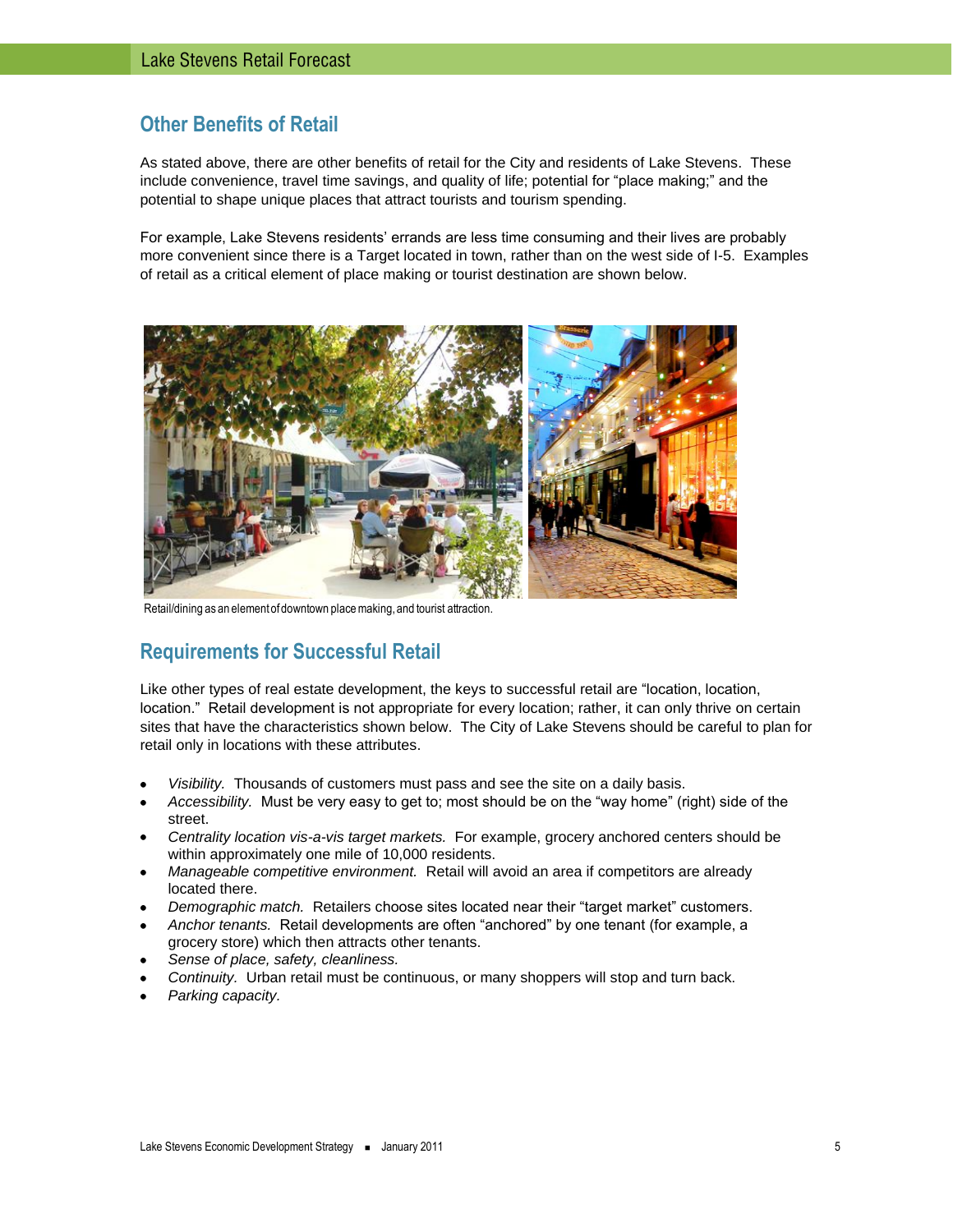# <span id="page-4-0"></span>**Other Benefits of Retail**

As stated above, there are other benefits of retail for the City and residents of Lake Stevens. These include convenience, travel time savings, and quality of life; potential for "place making;" and the potential to shape unique places that attract tourists and tourism spending.

For example, Lake Stevens residents' errands are less time consuming and their lives are probably more convenient since there is a Target located in town, rather than on the west side of I-5. Examples of retail as a critical element of place making or tourist destination are shown below.



Retail/dining as an element of downtown place making, and tourist attraction.

# <span id="page-4-1"></span>**Requirements for Successful Retail**

Like other types of real estate development, the keys to successful retail are "location, location, location." Retail development is not appropriate for every location; rather, it can only thrive on certain sites that have the characteristics shown below. The City of Lake Stevens should be careful to plan for retail only in locations with these attributes.

- *Visibility.* Thousands of customers must pass and see the site on a daily basis.
- *Accessibility.* Must be very easy to get to; most should be on the "way home" (right) side of the street.
- *Centrality location vis-a-vis target markets.* For example, grocery anchored centers should be within approximately one mile of 10,000 residents.
- *Manageable competitive environment.* Retail will avoid an area if competitors are already located there.
- *Demographic match.* Retailers choose sites located near their "target market" customers.
- *Anchor tenants.* Retail developments are often "anchored" by one tenant (for example, a grocery store) which then attracts other tenants.
- *Sense of place, safety, cleanliness.*
- *Continuity.* Urban retail must be continuous, or many shoppers will stop and turn back.
- *Parking capacity.*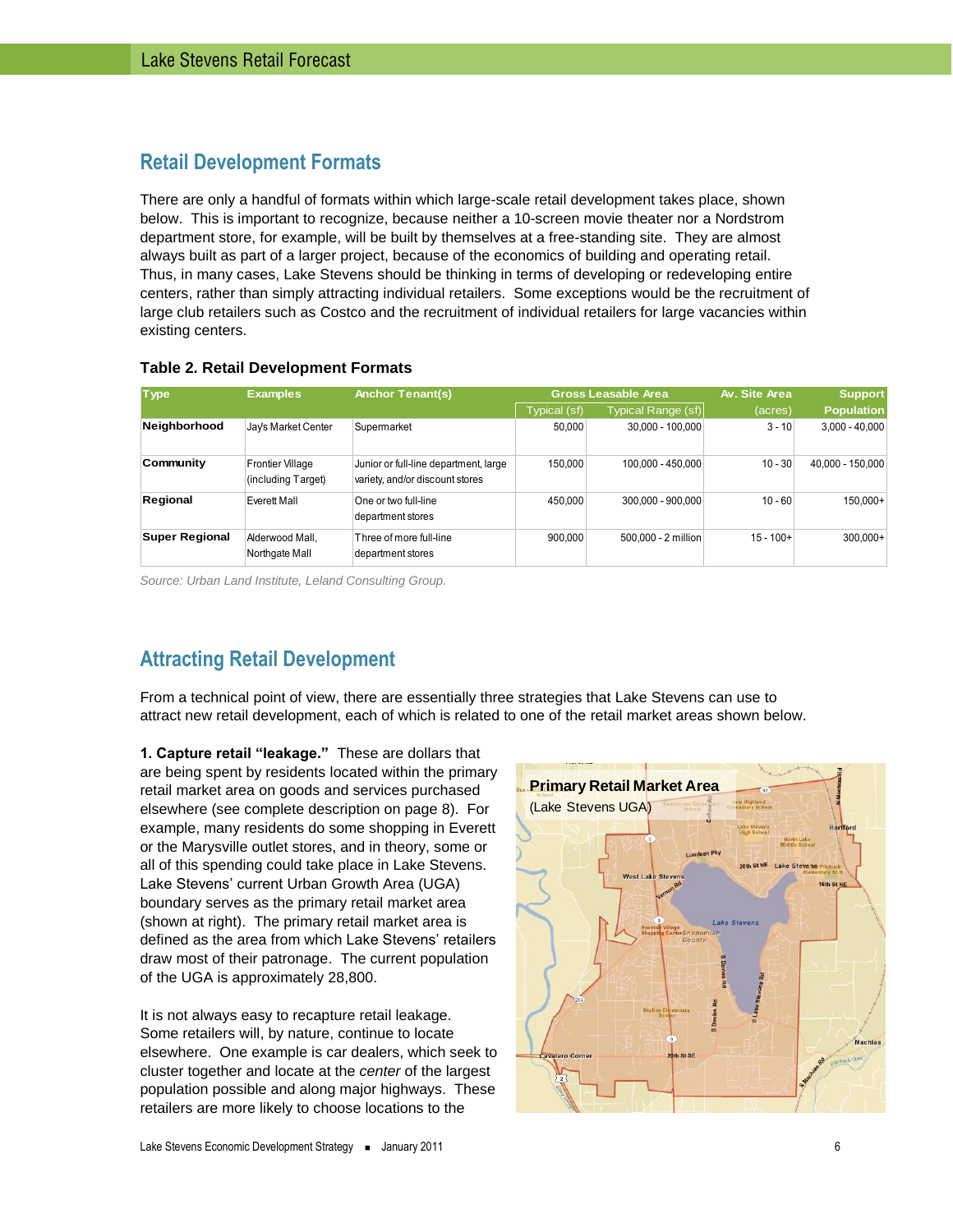# <span id="page-5-0"></span>**Retail Development Formats**

There are only a handful of formats within which large-scale retail development takes place, shown below. This is important to recognize, because neither a 10-screen movie theater nor a Nordstrom department store, for example, will be built by themselves at a free-standing site. They are almost always built as part of a larger project, because of the economics of building and operating retail. Thus, in many cases, Lake Stevens should be thinking in terms of developing or redeveloping entire centers, rather than simply attracting individual retailers. Some exceptions would be the recruitment of large club retailers such as Costco and the recruitment of individual retailers for large vacancies within existing centers.

| <b>Type</b>    | <b>Examples</b>                               | <b>Anchor Tenant(s)</b>                                                  |              | <b>Gross Leasable Area</b> | Av. Site Area | <b>Support</b>    |
|----------------|-----------------------------------------------|--------------------------------------------------------------------------|--------------|----------------------------|---------------|-------------------|
|                |                                               |                                                                          | Typical (sf) | Typical Range (sf)         | (acres)       | <b>Population</b> |
| Neighborhood   | Jay's Market Center                           | Supermarket                                                              | 50.000       | 30,000 - 100,000           | $3 - 10$      | $3,000 - 40,000$  |
| Community      | <b>Frontier Village</b><br>(including Target) | Junior or full-line department, large<br>variety, and/or discount stores | 150,000      | 100,000 - 450,000          | $10 - 30$     | 40,000 - 150,000  |
| Regional       | Everett Mall                                  | One or two full-line<br>department stores                                | 450,000      | 300.000 - 900.000          | $10 - 60$     | 150.000+          |
| Super Regional | Alderwood Mall.<br>Northgate Mall             | Three of more full-line<br>department stores                             | 900.000      | 500.000 - 2 million        | $15 - 100+$   | $300,000+$        |

#### **Table 2. Retail Development Formats**

*Source: Urban Land Institute, Leland Consulting Group.*

# <span id="page-5-1"></span>**Attracting Retail Development**

From a technical point of view, there are essentially three strategies that Lake Stevens can use to attract new retail development, each of which is related to one of the retail market areas shown below.

**1. Capture retail "leakage."** These are dollars that are being spent by residents located within the primary retail market area on goods and services purchased elsewhere (see complete description on page [8\)](#page-7-1). For example, many residents do some shopping in Everett or the Marysville outlet stores, and in theory, some or all of this spending could take place in Lake Stevens. Lake Stevens' current Urban Growth Area (UGA) boundary serves as the primary retail market area (shown at right). The primary retail market area is defined as the area from which Lake Stevens' retailers draw most of their patronage. The current population of the UGA is approximately 28,800.

It is not always easy to recapture retail leakage. Some retailers will, by nature, continue to locate elsewhere. One example is car dealers, which seek to cluster together and locate at the *center* of the largest population possible and along major highways. These retailers are more likely to choose locations to the

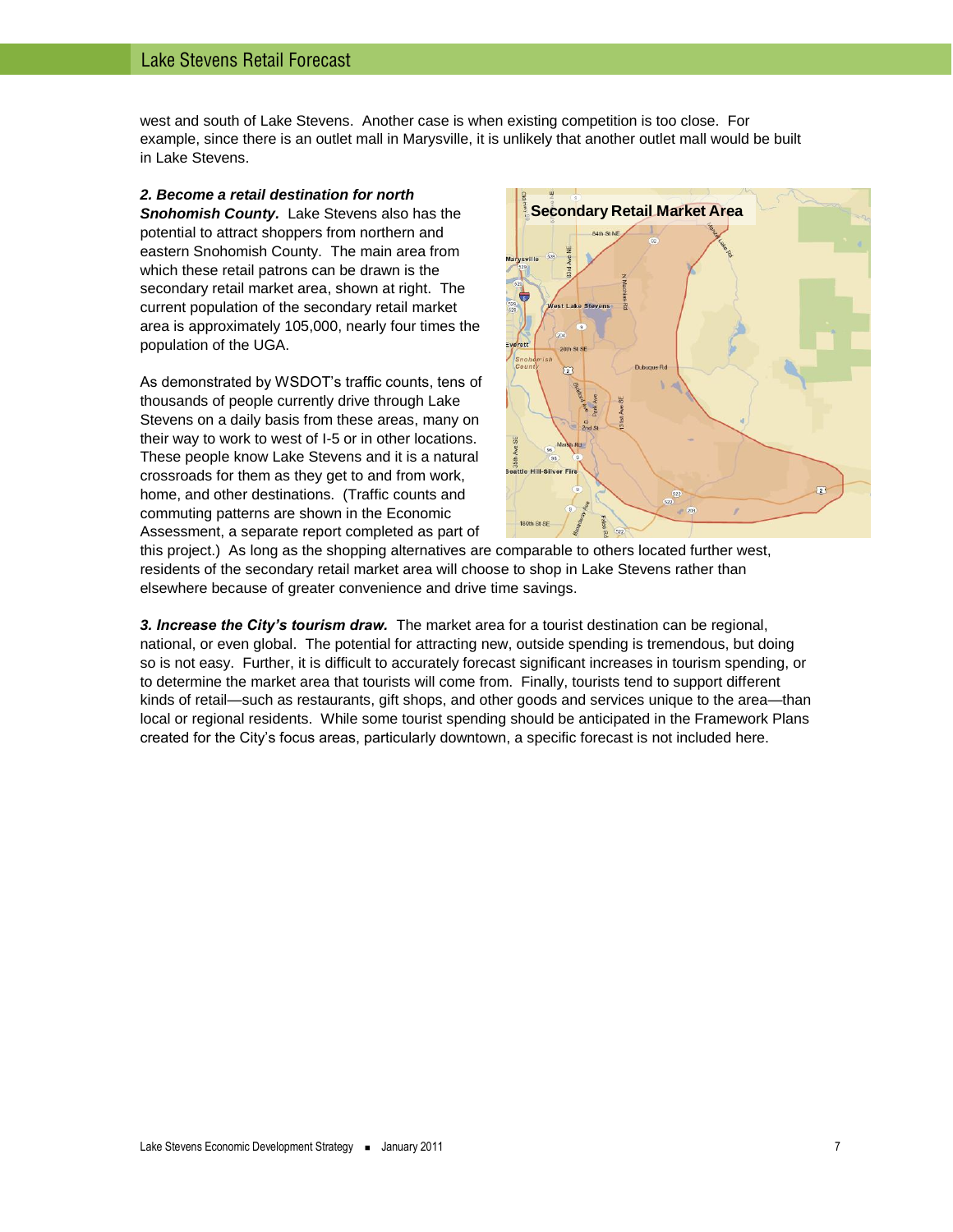west and south of Lake Stevens. Another case is when existing competition is too close. For example, since there is an outlet mall in Marysville, it is unlikely that another outlet mall would be built in Lake Stevens.

*2. Become a retail destination for north Snohomish County.* Lake Stevens also has the potential to attract shoppers from northern and eastern Snohomish County. The main area from which these retail patrons can be drawn is the secondary retail market area, shown at right. The current population of the secondary retail market area is approximately 105,000, nearly four times the population of the UGA.

As demonstrated by WSDOT's traffic counts, tens of thousands of people currently drive through Lake Stevens on a daily basis from these areas, many on their way to work to west of I-5 or in other locations. These people know Lake Stevens and it is a natural crossroads for them as they get to and from work, home, and other destinations. (Traffic counts and commuting patterns are shown in the Economic Assessment, a separate report completed as part of



this project.) As long as the shopping alternatives are comparable to others located further west. residents of the secondary retail market area will choose to shop in Lake Stevens rather than elsewhere because of greater convenience and drive time savings.

*3. Increase the City's tourism draw.* The market area for a tourist destination can be regional, national, or even global. The potential for attracting new, outside spending is tremendous, but doing so is not easy. Further, it is difficult to accurately forecast significant increases in tourism spending, or to determine the market area that tourists will come from. Finally, tourists tend to support different kinds of retail—such as restaurants, gift shops, and other goods and services unique to the area—than local or regional residents. While some tourist spending should be anticipated in the Framework Plans created for the City's focus areas, particularly downtown, a specific forecast is not included here.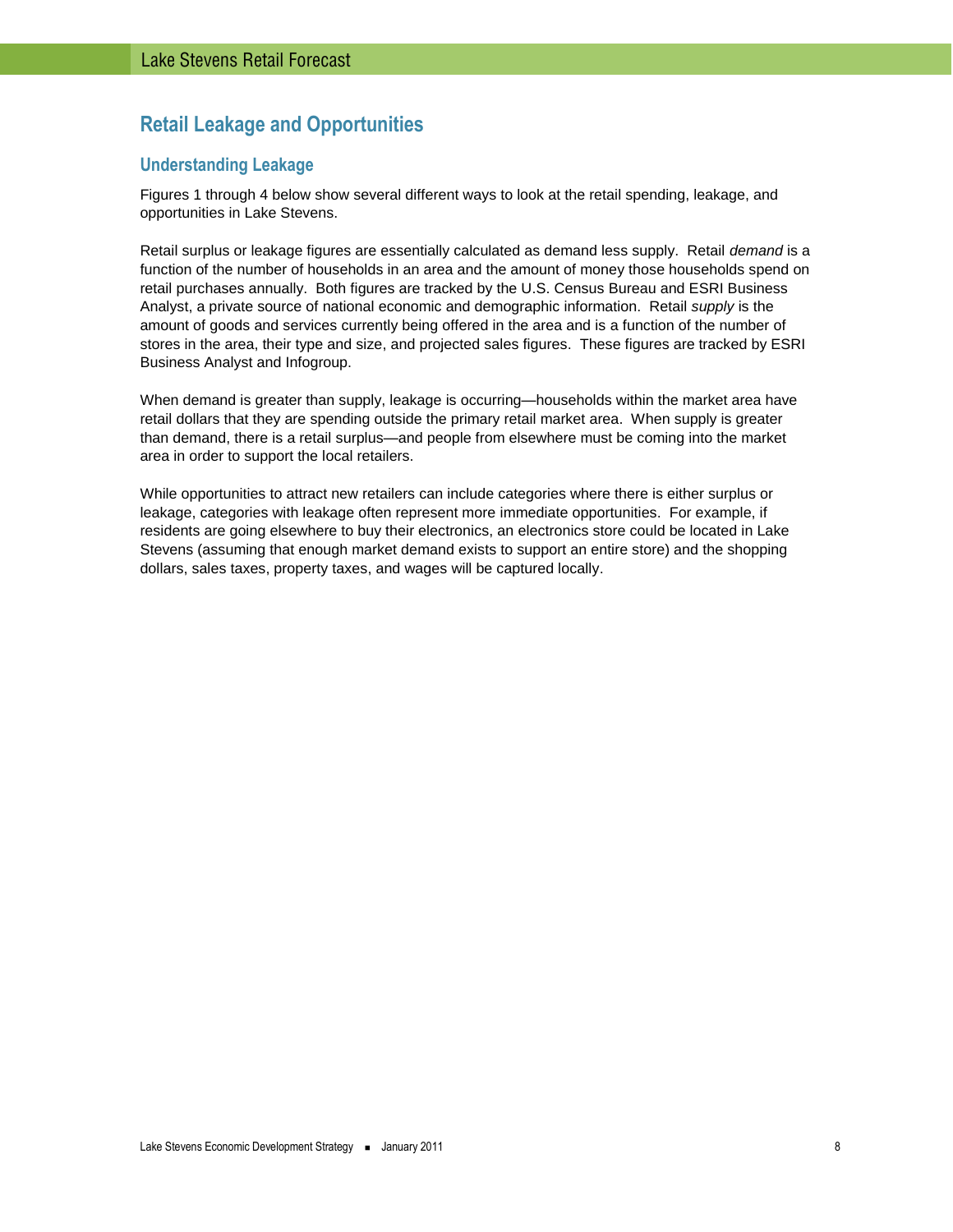# <span id="page-7-0"></span>**Retail Leakage and Opportunities**

# <span id="page-7-1"></span>**Understanding Leakage**

Figures 1 through 4 below show several different ways to look at the retail spending, leakage, and opportunities in Lake Stevens.

Retail surplus or leakage figures are essentially calculated as demand less supply. Retail *demand* is a function of the number of households in an area and the amount of money those households spend on retail purchases annually. Both figures are tracked by the U.S. Census Bureau and ESRI Business Analyst, a private source of national economic and demographic information. Retail *supply* is the amount of goods and services currently being offered in the area and is a function of the number of stores in the area, their type and size, and projected sales figures. These figures are tracked by ESRI Business Analyst and Infogroup.

When demand is greater than supply, leakage is occurring—households within the market area have retail dollars that they are spending outside the primary retail market area. When supply is greater than demand, there is a retail surplus—and people from elsewhere must be coming into the market area in order to support the local retailers.

While opportunities to attract new retailers can include categories where there is either surplus or leakage, categories with leakage often represent more immediate opportunities. For example, if residents are going elsewhere to buy their electronics, an electronics store could be located in Lake Stevens (assuming that enough market demand exists to support an entire store) and the shopping dollars, sales taxes, property taxes, and wages will be captured locally.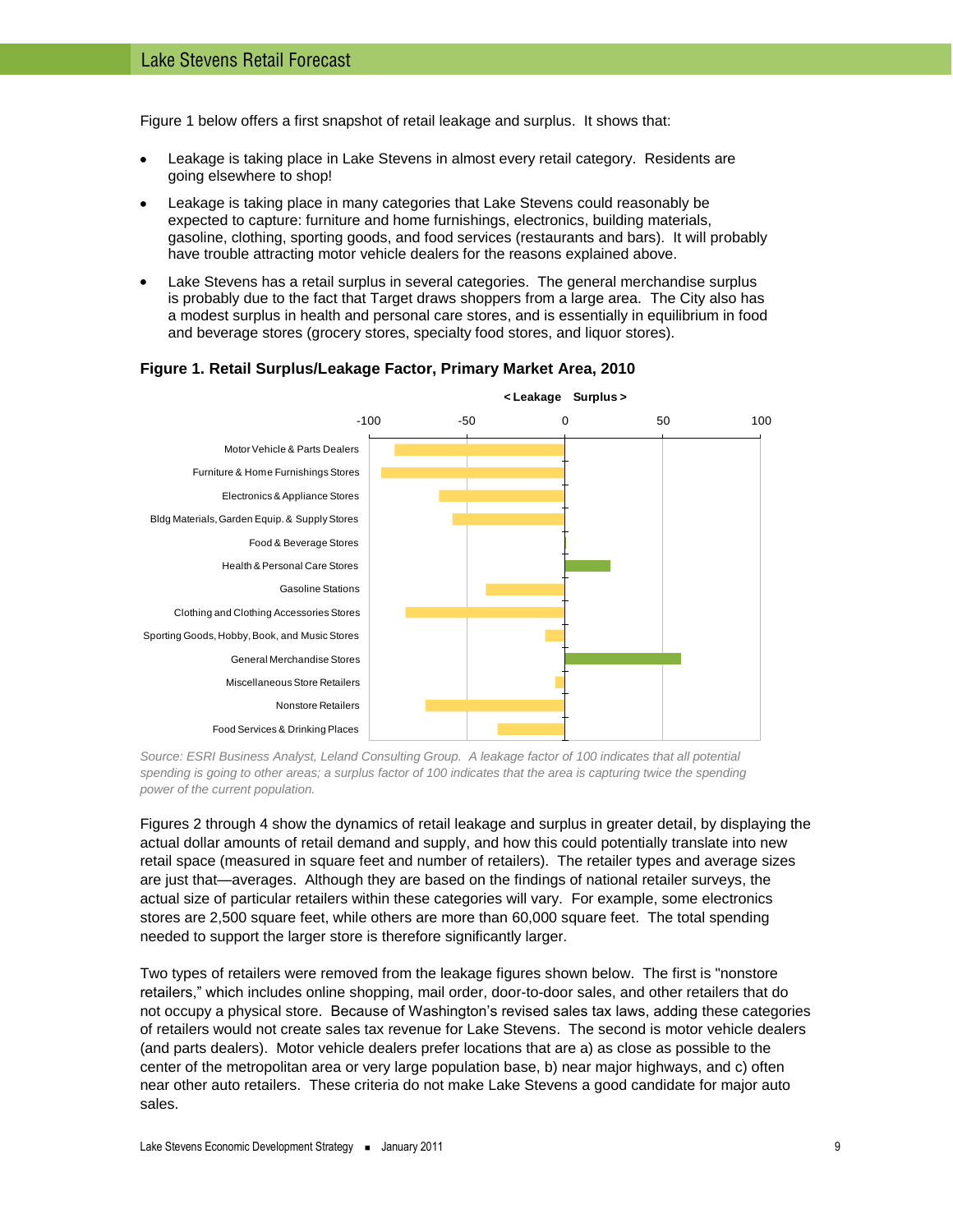[Figure 1](#page-8-0) below offers a first snapshot of retail leakage and surplus. It shows that:

- Leakage is taking place in Lake Stevens in almost every retail category. Residents are going elsewhere to shop!
- Leakage is taking place in many categories that Lake Stevens could reasonably be expected to capture: furniture and home furnishings, electronics, building materials, gasoline, clothing, sporting goods, and food services (restaurants and bars). It will probably have trouble attracting motor vehicle dealers for the reasons explained above.
- Lake Stevens has a retail surplus in several categories. The general merchandise surplus is probably due to the fact that Target draws shoppers from a large area. The City also has a modest surplus in health and personal care stores, and is essentially in equilibrium in food and beverage stores (grocery stores, specialty food stores, and liquor stores).



#### <span id="page-8-0"></span>**Figure 1. Retail Surplus/Leakage Factor, Primary Market Area, 2010**

*Source: ESRI Business Analyst, Leland Consulting Group. A leakage factor of 100 indicates that all potential*  spending is going to other areas; a surplus factor of 100 indicates that the area is capturing twice the spending *power of the current population.* 

Figures 2 through 4 show the dynamics of retail leakage and surplus in greater detail, by displaying the actual dollar amounts of retail demand and supply, and how this could potentially translate into new retail space (measured in square feet and number of retailers). The retailer types and average sizes are just that—averages. Although they are based on the findings of national retailer surveys, the actual size of particular retailers within these categories will vary. For example, some electronics stores are 2,500 square feet, while others are more than 60,000 square feet. The total spending needed to support the larger store is therefore significantly larger.

Two types of retailers were removed from the leakage figures shown below. The first is "nonstore retailers," which includes online shopping, mail order, door-to-door sales, and other retailers that do not occupy a physical store. Because of Washington's revised sales tax laws, adding these categories of retailers would not create sales tax revenue for Lake Stevens. The second is motor vehicle dealers (and parts dealers). Motor vehicle dealers prefer locations that are a) as close as possible to the center of the metropolitan area or very large population base, b) near major highways, and c) often near other auto retailers. These criteria do not make Lake Stevens a good candidate for major auto sales.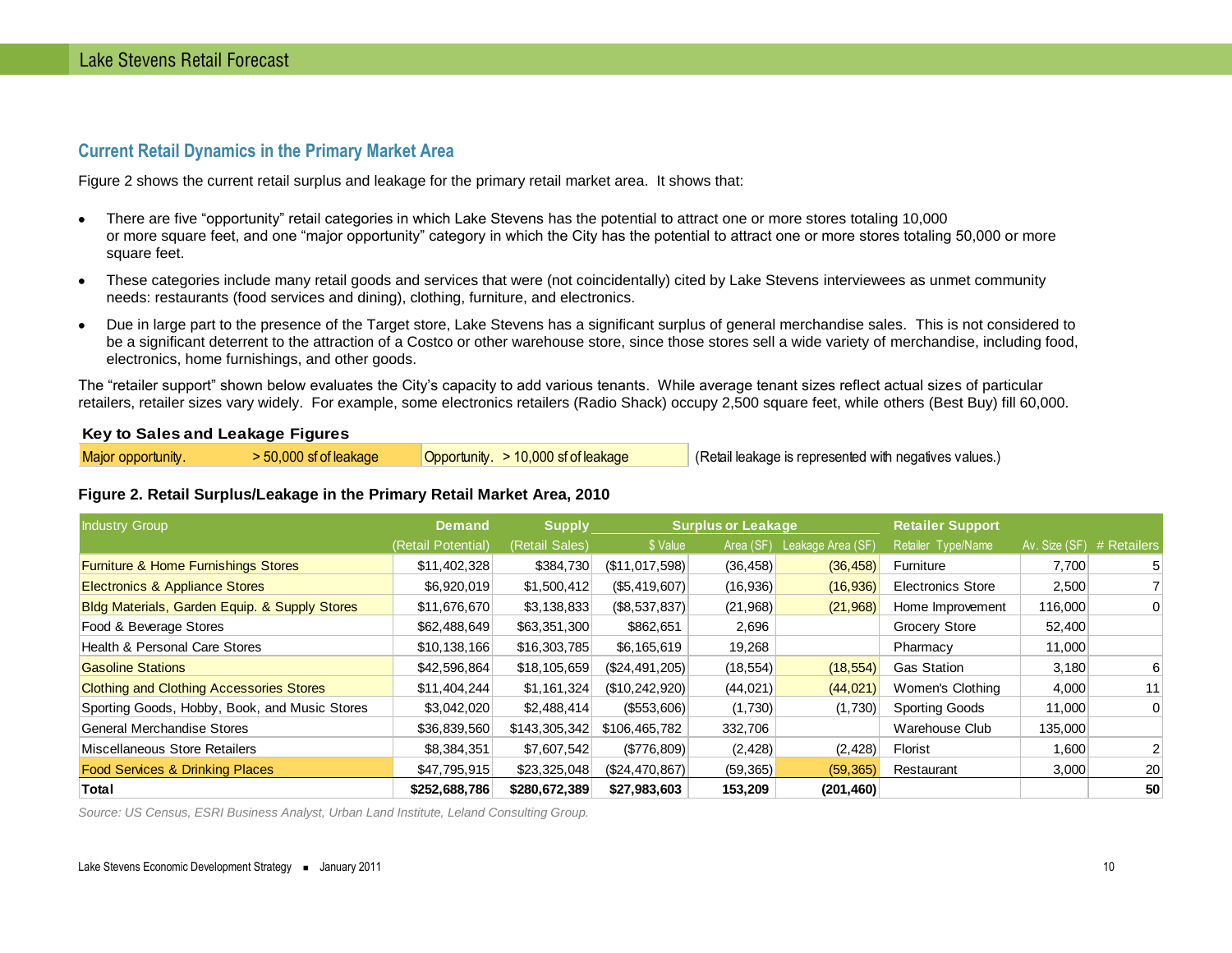# **Current Retail Dynamics in the Primary Market Area**

Figure 2 shows the current retail surplus and leakage for the primary retail market area. It shows that:

- There are five "opportunity" retail categories in which Lake Stevens has the potential to attract one or more stores totaling 10,000  $\bullet$ or more square feet, and one "major opportunity" category in which the City has the potential to attract one or more stores totaling 50,000 or more square feet.
- These categories include many retail goods and services that were (not coincidentally) cited by Lake Stevens interviewees as unmet community  $\bullet$ needs: restaurants (food services and dining), clothing, furniture, and electronics.
- Due in large part to the presence of the Target store, Lake Stevens has a significant surplus of general merchandise sales. This is not considered to  $\bullet$ be a significant deterrent to the attraction of a Costco or other warehouse store, since those stores sell a wide variety of merchandise, including food, electronics, home furnishings, and other goods.

The "retailer support" shown below evaluates the City's capacity to add various tenants. While average tenant sizes reflect actual sizes of particular retailers, retailer sizes vary widely. For example, some electronics retailers (Radio Shack) occupy 2,500 square feet, while others (Best Buy) fill 60,000.

#### <span id="page-9-0"></span>**Key to Sales and Leakage Figures**

| Major opportunity. | 50,000 sf of leakage | Opportunity. $> 10,000$ sf of leakage | (Retail leakage is represented with negatives values.) |
|--------------------|----------------------|---------------------------------------|--------------------------------------------------------|
|                    |                      |                                       |                                                        |

#### **Figure 2. Retail Surplus/Leakage in the Primary Retail Market Area, 2010**

| Industry Group                                  | <b>Demand</b>      | <b>Supply</b>  |                  | <b>Surplus or Leakage</b> |                   | <b>Retailer Support</b>  |                           |    |
|-------------------------------------------------|--------------------|----------------|------------------|---------------------------|-------------------|--------------------------|---------------------------|----|
|                                                 | (Retail Potential) | (Retail Sales) | \$ Value         | Area (SF)                 | Leakage Area (SF) | Retailer Type/Name       | Av. Size (SF) # Retailers |    |
| Furniture & Home Furnishings Stores             | \$11,402,328       | \$384,730      | (\$11,017,598)   | (36, 458)                 | (36, 458)         | Furniture                | 7,700                     |    |
| Electronics & Appliance Stores                  | \$6,920,019        | \$1,500,412    | (S5, 419, 607)   | (16,936)                  | (16,936)          | <b>Electronics Store</b> | 2,500                     |    |
| Bldg Materials, Garden Equip. & Supply Stores   | \$11,676,670       | \$3,138,833    | (\$8,537,837)    | (21,968)                  | (21,968)          | Home Improvement         | 116,000                   |    |
| Food & Beverage Stores                          | \$62,488,649       | \$63,351,300   | \$862,651        | 2,696                     |                   | Grocery Store            | 52,400                    |    |
| Health & Personal Care Stores                   | \$10,138,166       | \$16,303,785   | \$6,165,619      | 19,268                    |                   | Pharmacy                 | 11,000                    |    |
| <b>Gasoline Stations</b>                        | \$42,596,864       | \$18,105,659   | $(\$24,491,205)$ | (18, 554)                 | (18, 554)         | <b>Gas Station</b>       | 3,180                     | 6  |
| <b>Clothing and Clothing Accessories Stores</b> | \$11,404,244       | \$1,161,324    | (S10, 242, 920)  | (44, 021)                 | (44, 021)         | Women's Clothing         | 4,000                     | 11 |
| Sporting Goods, Hobby, Book, and Music Stores   | \$3,042,020        | \$2,488,414    | (S553,606)       | (1,730)                   | (1,730)           | <b>Sporting Goods</b>    | 11,000                    | 0  |
| General Merchandise Stores                      | \$36,839,560       | \$143,305,342  | \$106,465,782    | 332,706                   |                   | Warehouse Club           | 135,000                   |    |
| Miscellaneous Store Retailers                   | \$8,384,351        | \$7,607,542    | (\$776,809)      | (2, 428)                  | (2, 428)          | Florist                  | 1,600                     |    |
| <b>Food Services &amp; Drinking Places</b>      | \$47,795,915       | \$23,325,048   | (S24, 470, 867)  | (59, 365)                 | (59, 365)         | Restaurant               | 3,000                     | 20 |
| Total                                           | \$252,688,786      | \$280,672,389  | \$27,983,603     | 153,209                   | (201, 460)        |                          |                           | 50 |

*Source: US Census, ESRI Business Analyst, Urban Land Institute, Leland Consulting Group.*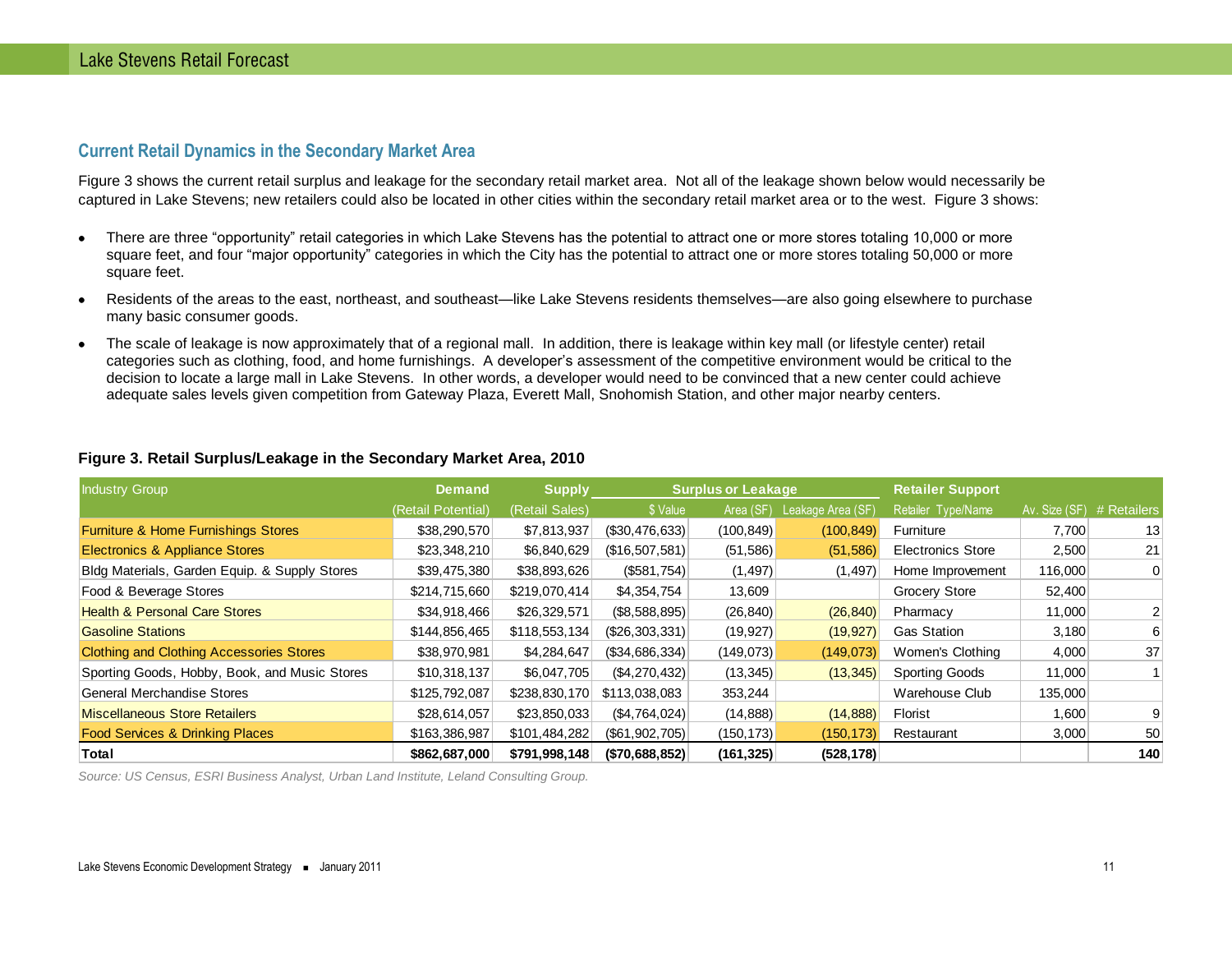# **Current Retail Dynamics in the Secondary Market Area**

[Figure 3](#page-10-1) shows the current retail surplus and leakage for the secondary retail market area. Not all of the leakage shown below would necessarily be captured in Lake Stevens; new retailers could also be located in other cities within the secondary retail market area or to the west. [Figure 3](#page-10-1) shows:

- There are three "opportunity" retail categories in which Lake Stevens has the potential to attract one or more stores totaling 10,000 or more square feet, and four "major opportunity" categories in which the City has the potential to attract one or more stores totaling 50,000 or more square feet.
- Residents of the areas to the east, northeast, and southeast—like Lake Stevens residents themselves—are also going elsewhere to purchase  $\bullet$ many basic consumer goods.
- The scale of leakage is now approximately that of a regional mall. In addition, there is leakage within key mall (or lifestyle center) retail  $\bullet$ categories such as clothing, food, and home furnishings. A developer's assessment of the competitive environment would be critical to the decision to locate a large mall in Lake Stevens. In other words, a developer would need to be convinced that a new center could achieve adequate sales levels given competition from Gateway Plaza, Everett Mall, Snohomish Station, and other major nearby centers.

| <b>Industry Group</b>                           | <b>Demand</b>      | <b>Supply</b>  | <b>Surplus or Leakage</b> |            | <b>Retailer Support</b> |                          |                           |     |
|-------------------------------------------------|--------------------|----------------|---------------------------|------------|-------------------------|--------------------------|---------------------------|-----|
|                                                 | (Retail Potential) | (Retail Sales) | \$ Value                  | Area (SF)  | Leakage Area (SF)       | Retailer Type/Name       | Av. Size (SF) # Retailers |     |
| Furniture & Home Furnishings Stores             | \$38,290,570       | \$7,813,937    | (\$30,476,633)            | (100, 849) | (100, 849)              | Furniture                | 7,700                     | 13  |
| <b>Electronics &amp; Appliance Stores</b>       | \$23,348,210       | \$6,840,629    | (\$16,507,581)            | (51, 586)  | (51, 586)               | <b>Electronics Store</b> | 2,500                     | 21  |
| Bldg Materials, Garden Equip. & Supply Stores   | \$39,475,380       | \$38,893,626   | (S581,754)                | (1, 497)   | (1, 497)                | Home Improvement         | 116,000                   | 0   |
| Food & Beverage Stores                          | \$214,715,660      | \$219,070,414  | \$4,354,754               | 13,609     |                         | <b>Grocery Store</b>     | 52,400                    |     |
| <b>Health &amp; Personal Care Stores</b>        | \$34,918,466       | \$26,329,571   | (S8, 588, 895)            | (26, 840)  | (26, 840)               | Pharmacy                 | 11,000                    |     |
| <b>Gasoline Stations</b>                        | \$144,856,465      | \$118,553,134  | (\$26,303,331)            | (19, 927)  | (19, 927)               | <b>Gas Station</b>       | 3,180                     | 6   |
| <b>Clothing and Clothing Accessories Stores</b> | \$38,970,981       | \$4,284,647    | (\$34,686,334)            | (149,073)  | (149,073)               | Women's Clothing         | 4,000                     | 37  |
| Sporting Goods, Hobby, Book, and Music Stores   | \$10,318,137       | \$6,047,705    | (S4, 270, 432)            | (13, 345)  | (13, 345)               | <b>Sporting Goods</b>    | 11,000                    |     |
| General Merchandise Stores                      | \$125,792,087      | \$238,830,170  | \$113,038,083             | 353,244    |                         | Warehouse Club           | 135,000                   |     |
| <b>Miscellaneous Store Retailers</b>            | \$28,614,057       | \$23,850,033   | (S4, 764, 024)            | (14, 888)  | (14, 888)               | Florist                  | 1,600                     |     |
| <b>Food Services &amp; Drinking Places</b>      | \$163,386,987      | \$101,484,282  | (\$61,902,705)            | (150, 173) | (150, 173)              | Restaurant               | 3,000                     | 50  |
| <b>Total</b>                                    | \$862,687,000      | \$791,998,148  | (\$70,688,852)            | (161, 325) | (528, 178)              |                          |                           | 140 |

#### <span id="page-10-1"></span><span id="page-10-0"></span>**Figure 3. Retail Surplus/Leakage in the Secondary Market Area, 2010**

*Source: US Census, ESRI Business Analyst, Urban Land Institute, Leland Consulting Group.*